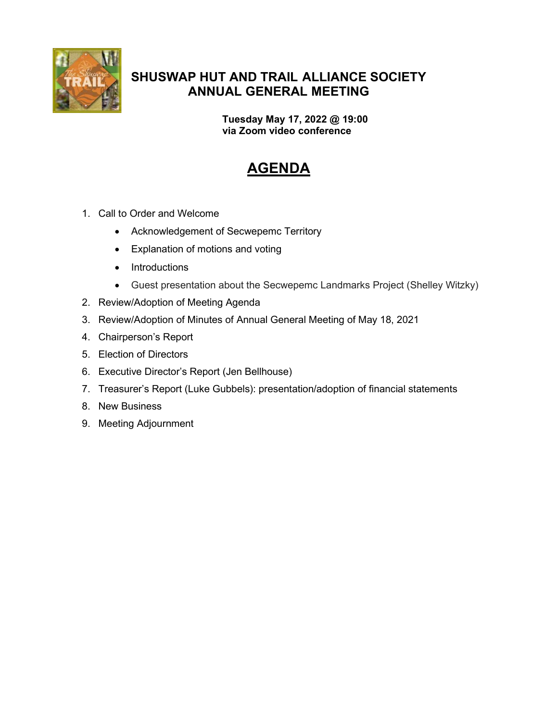

# SHUSWAP HUT AND TRAIL ALLIANCE SOCIETY ANNUAL GENERAL MEETING

Tuesday May 17, 2022 @ 19:00 via Zoom video conference

# AGENDA

- 1. Call to Order and Welcome
	- Acknowledgement of Secwepemc Territory
	- Explanation of motions and voting
	- Introductions
	- Guest presentation about the Secwepemc Landmarks Project (Shelley Witzky)
- 2. Review/Adoption of Meeting Agenda
- 3. Review/Adoption of Minutes of Annual General Meeting of May 18, 2021
- 4. Chairperson's Report
- 5. Election of Directors
- 6. Executive Director's Report (Jen Bellhouse)
- 7. Treasurer's Report (Luke Gubbels): presentation/adoption of financial statements
- 8. New Business
- 9. Meeting Adjournment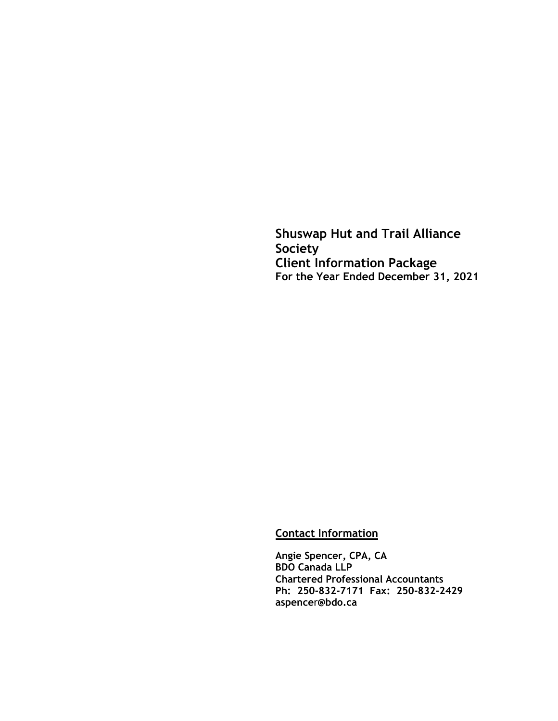**Shuswap Hut and Trail Alliance Society Client Information Package For the Year Ended December 31, 2021**

**Contact Information**

**Angie Spencer, CPA, CA BDO Canada LLP Chartered Professional Accountants Ph: 250-832-7171 Fax: 250-832-2429 aspence**r**@bdo.ca**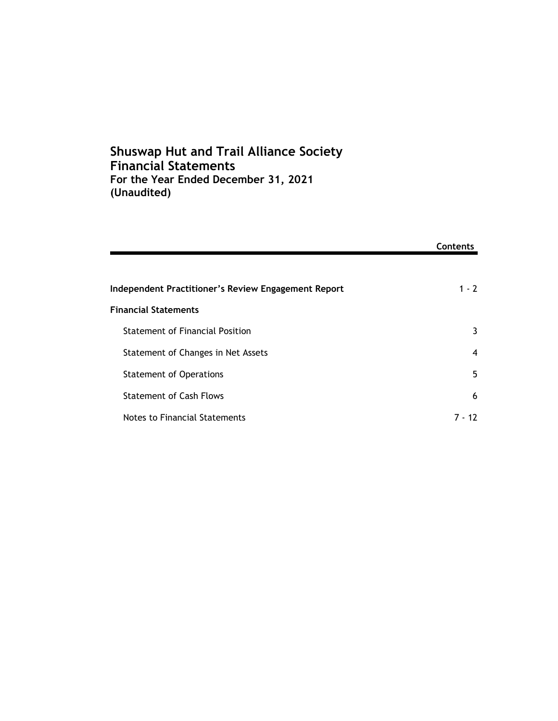# **Shuswap Hut and Trail Alliance Society Financial Statements For the Year Ended December 31, 2021 (Unaudited)**

|                                                     | Contents |
|-----------------------------------------------------|----------|
|                                                     |          |
| Independent Practitioner's Review Engagement Report | $1 - 2$  |
| <b>Financial Statements</b>                         |          |
| Statement of Financial Position                     | 3        |
| Statement of Changes in Net Assets                  | 4        |
| <b>Statement of Operations</b>                      | 5        |
| <b>Statement of Cash Flows</b>                      | 6        |
| Notes to Financial Statements                       | 7 - 12   |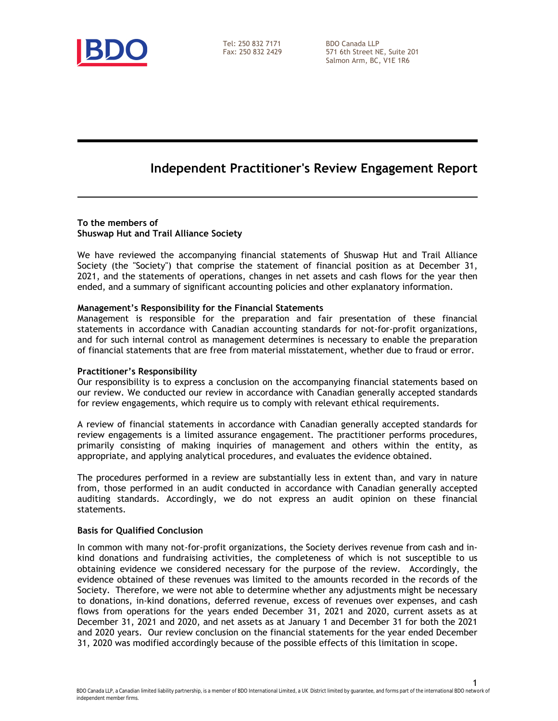

Tel: 250 832 7171 Fax: 250 832 2429 BDO Canada LLP 571 6th Street NE, Suite 201 Salmon Arm, BC, V1E 1R6

# **Independent Practitioner's Review Engagement Report**

#### **To the members of Shuswap Hut and Trail Alliance Society**

We have reviewed the accompanying financial statements of Shuswap Hut and Trail Alliance Society (the "Society") that comprise the statement of financial position as at December 31, 2021, and the statements of operations, changes in net assets and cash flows for the year then ended, and a summary of significant accounting policies and other explanatory information.

### **Management's Responsibility for the Financial Statements**

Management is responsible for the preparation and fair presentation of these financial statements in accordance with Canadian accounting standards for not-for-profit organizations, and for such internal control as management determines is necessary to enable the preparation of financial statements that are free from material misstatement, whether due to fraud or error.

#### **Practitioner's Responsibility**

Our responsibility is to express a conclusion on the accompanying financial statements based on our review. We conducted our review in accordance with Canadian generally accepted standards for review engagements, which require us to comply with relevant ethical requirements.

A review of financial statements in accordance with Canadian generally accepted standards for review engagements is a limited assurance engagement. The practitioner performs procedures, primarily consisting of making inquiries of management and others within the entity, as appropriate, and applying analytical procedures, and evaluates the evidence obtained.

The procedures performed in a review are substantially less in extent than, and vary in nature from, those performed in an audit conducted in accordance with Canadian generally accepted auditing standards. Accordingly, we do not express an audit opinion on these financial statements.

#### **Basis for Qualified Conclusion**

In common with many not-for-profit organizations, the Society derives revenue from cash and inkind donations and fundraising activities, the completeness of which is not susceptible to us obtaining evidence we considered necessary for the purpose of the review. Accordingly, the evidence obtained of these revenues was limited to the amounts recorded in the records of the Society. Therefore, we were not able to determine whether any adjustments might be necessary to donations, in-kind donations, deferred revenue, excess of revenues over expenses, and cash flows from operations for the years ended December 31, 2021 and 2020, current assets as at December 31, 2021 and 2020, and net assets as at January 1 and December 31 for both the 2021 and 2020 years. Our review conclusion on the financial statements for the year ended December 31, 2020 was modified accordingly because of the possible effects of this limitation in scope.

1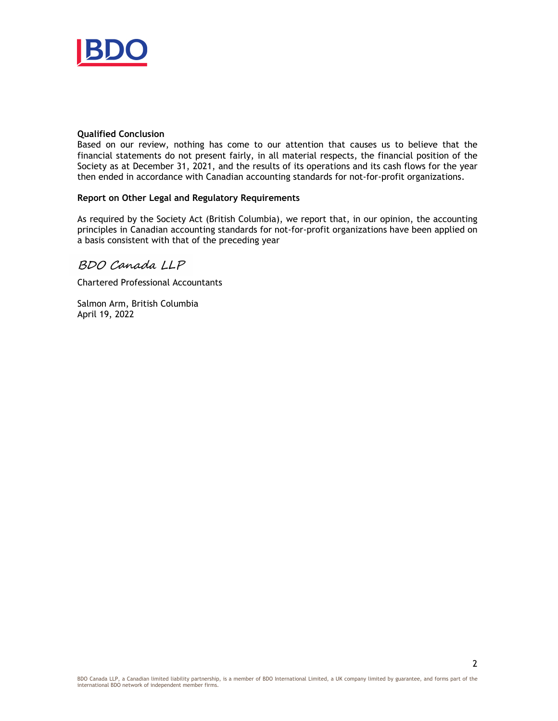

#### **Qualified Conclusion**

Based on our review, nothing has come to our attention that causes us to believe that the financial statements do not present fairly, in all material respects, the financial position of the Society as at December 31, 2021, and the results of its operations and its cash flows for the year then ended in accordance with Canadian accounting standards for not-for-profit organizations.

### **Report on Other Legal and Regulatory Requirements**

As required by the Society Act (British Columbia), we report that, in our opinion, the accounting principles in Canadian accounting standards for not-for-profit organizations have been applied on a basis consistent with that of the preceding year

### BDO Canada LLP

Chartered Professional Accountants

Salmon Arm, British Columbia April 19, 2022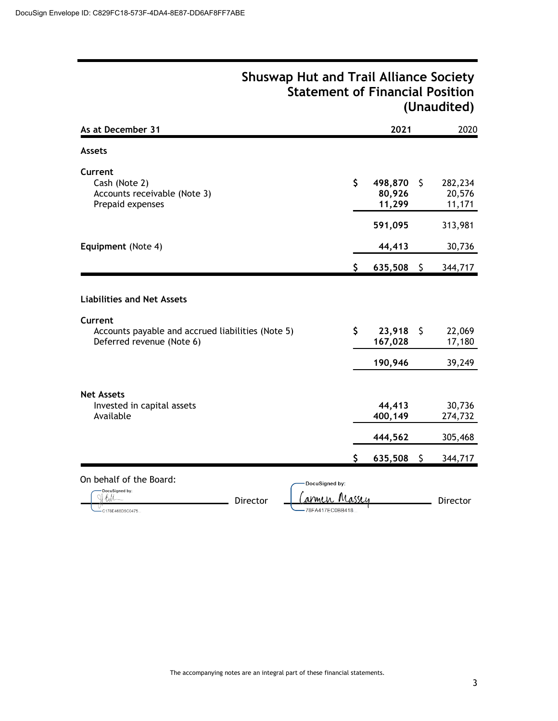|                                                                                                                                |                                               |         | (Unductured)                            |
|--------------------------------------------------------------------------------------------------------------------------------|-----------------------------------------------|---------|-----------------------------------------|
| As at December 31                                                                                                              | 2021                                          |         | 2020                                    |
| <b>Assets</b>                                                                                                                  |                                               |         |                                         |
| Current<br>Cash (Note 2)<br>Accounts receivable (Note 3)<br>Prepaid expenses                                                   | \$<br>498,870<br>80,926<br>11,299             | \$      | 282,234<br>20,576<br>11,171             |
|                                                                                                                                | 591,095                                       |         | 313,981                                 |
| Equipment (Note 4)                                                                                                             | 44,413                                        |         | 30,736                                  |
|                                                                                                                                | \$<br>$635,508$ \$                            |         | 344,717                                 |
| <b>Liabilities and Net Assets</b><br>Current<br>Accounts payable and accrued liabilities (Note 5)<br>Deferred revenue (Note 6) | \$<br>23,918<br>167,028<br>190,946            | \$      | 22,069<br>17,180<br>39,249              |
| <b>Net Assets</b><br>Invested in capital assets<br>Available                                                                   | \$<br>44,413<br>400,149<br>444,562<br>635,508 | $\zeta$ | 30,736<br>274,732<br>305,468<br>344,717 |
| On behalf of the Board:<br>DocuSigned by:<br>DocuSigned by:<br><b>Director</b><br>78FA417EC0BB418<br>-C178E468D5C0475          |                                               |         | Director                                |

### **Shuswap Hut and Trail Alliance Society Statement of Financial Position (Unaudited)**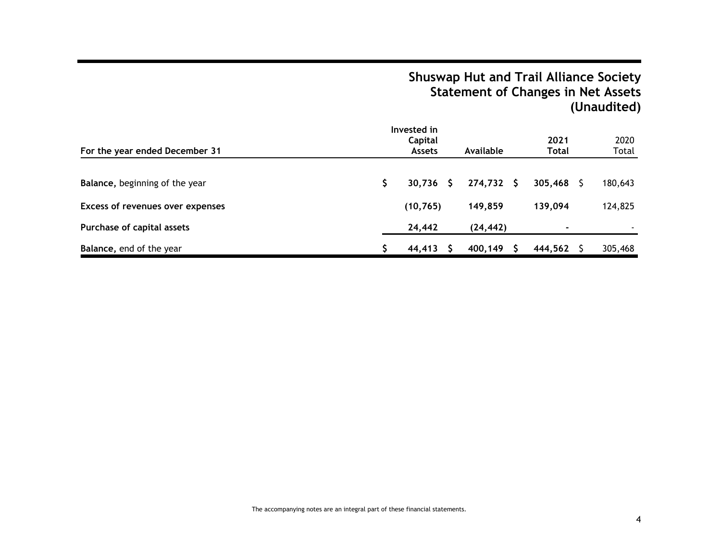# **Shuswap Hut and Trail Alliance Society Statement of Changes in Net Assets (Unaudited)**

| For the year ended December 31          | Invested in<br>Capital<br><b>Assets</b> |   | Available |    | 2021<br>Total | 2020<br>Total |
|-----------------------------------------|-----------------------------------------|---|-----------|----|---------------|---------------|
| <b>Balance, beginning of the year</b>   | 30,736                                  | S | 274,732   | S. | 305,468       | 180,643       |
| <b>Excess of revenues over expenses</b> | (10, 765)                               |   | 149,859   |    | 139,094       | 124,825       |
| Purchase of capital assets              | 24,442                                  |   | (24, 442) |    | ٠             |               |
| Balance, end of the year                | 44.413                                  |   | 400,149   |    | 444,562       | 305,468       |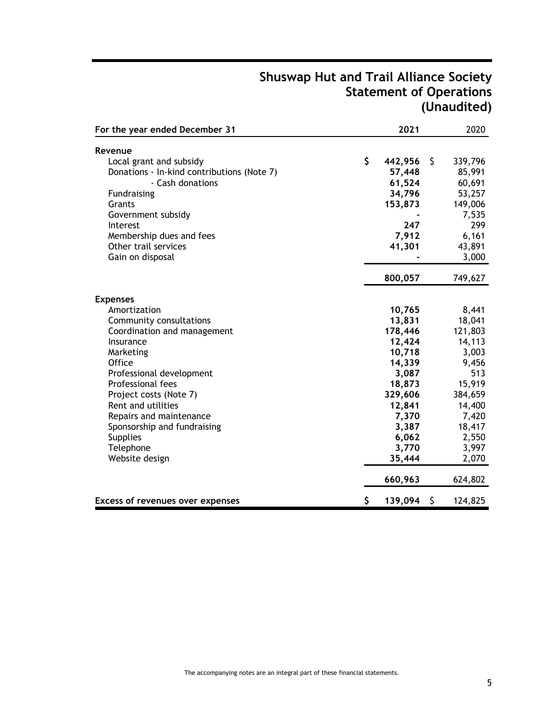# **Shuswap Hut and Trail Alliance Society Statement of Operations (Unaudited)**

| For the year ended December 31                                 | 2021              |     | 2020              |
|----------------------------------------------------------------|-------------------|-----|-------------------|
| Revenue                                                        |                   |     |                   |
|                                                                | \$                | \$  |                   |
| Local grant and subsidy                                        | 442,956<br>57,448 |     | 339,796<br>85,991 |
| Donations - In-kind contributions (Note 7)<br>- Cash donations | 61,524            |     | 60,691            |
| <b>Fundraising</b>                                             | 34,796            |     | 53,257            |
| Grants                                                         | 153,873           |     | 149,006           |
| Government subsidy                                             |                   |     | 7,535             |
| Interest                                                       | 247               |     | 299               |
| Membership dues and fees                                       | 7,912             |     | 6,161             |
| Other trail services                                           | 41,301            |     | 43,891            |
| Gain on disposal                                               |                   |     | 3,000             |
|                                                                |                   |     |                   |
|                                                                | 800,057           |     | 749,627           |
| <b>Expenses</b>                                                |                   |     |                   |
| Amortization                                                   | 10,765            |     | 8,441             |
| Community consultations                                        | 13,831            |     | 18,041            |
| Coordination and management                                    | 178,446           |     | 121,803           |
| Insurance                                                      | 12,424            |     | 14,113            |
| Marketing                                                      | 10,718            |     | 3,003             |
| <b>Office</b>                                                  | 14,339            |     | 9,456             |
| Professional development                                       | 3,087             |     | 513               |
| Professional fees                                              | 18,873            |     | 15,919            |
| Project costs (Note 7)                                         | 329,606           |     | 384,659           |
| Rent and utilities                                             | 12,841            |     | 14,400            |
| Repairs and maintenance                                        | 7,370             |     | 7,420             |
| Sponsorship and fundraising                                    | 3,387             |     | 18,417            |
| <b>Supplies</b>                                                | 6,062             |     | 2,550             |
| Telephone                                                      | 3,770             |     | 3,997             |
| Website design                                                 | 35,444            |     | 2,070             |
|                                                                | 660,963           |     | 624,802           |
| <b>Excess of revenues over expenses</b>                        | \$<br>139,094     | - S | 124,825           |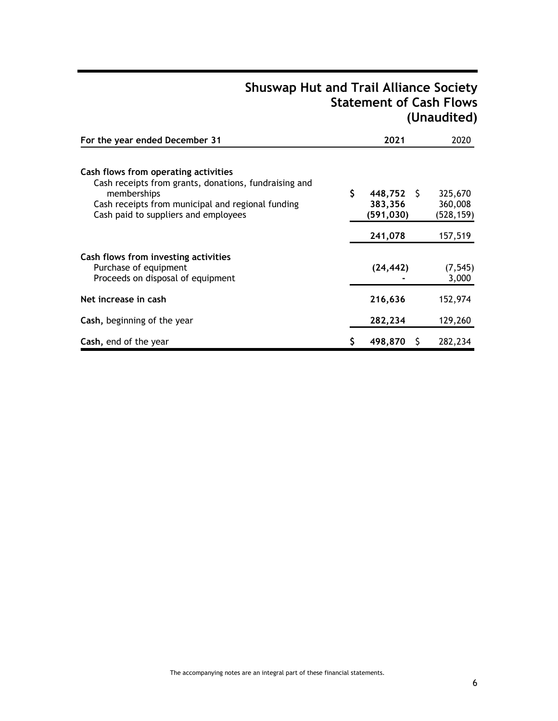# **Shuswap Hut and Trail Alliance Society Statement of Cash Flows (Unaudited)**

| For the year ended December 31                                                                                                                                                                            |    | 2021                                  | 2020                             |
|-----------------------------------------------------------------------------------------------------------------------------------------------------------------------------------------------------------|----|---------------------------------------|----------------------------------|
| Cash flows from operating activities<br>Cash receipts from grants, donations, fundraising and<br>memberships<br>Cash receipts from municipal and regional funding<br>Cash paid to suppliers and employees | \$ | $448,752$ \$<br>383,356<br>(591, 030) | 325,670<br>360,008<br>(528, 159) |
|                                                                                                                                                                                                           |    | 241,078                               | 157,519                          |
| Cash flows from investing activities<br>Purchase of equipment<br>Proceeds on disposal of equipment                                                                                                        |    | (24,442)                              | (7, 545)<br>3,000                |
| Net increase in cash                                                                                                                                                                                      |    | 216,636                               | 152,974                          |
| Cash, beginning of the year                                                                                                                                                                               |    | 282,234                               | 129,260                          |
| Cash, end of the year                                                                                                                                                                                     | Ş  | 498,870<br>S                          | 282,234                          |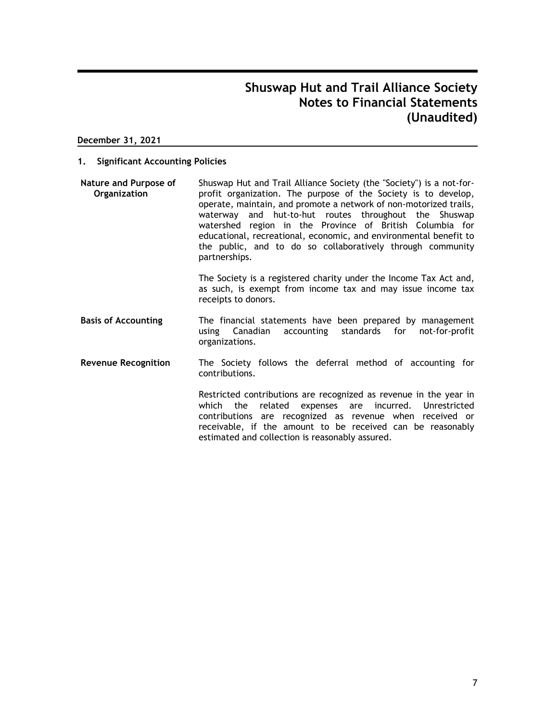#### **December 31, 2021**

#### **1. Significant Accounting Policies**

**Nature and Purpose of Organization** Shuswap Hut and Trail Alliance Society (the "Society") is a not-forprofit organization. The purpose of the Society is to develop, operate, maintain, and promote a network of non-motorized trails, waterway and hut-to-hut routes throughout the Shuswap watershed region in the Province of British Columbia for educational, recreational, economic, and environmental benefit to the public, and to do so collaboratively through community partnerships.

> The Society is a registered charity under the Income Tax Act and, as such, is exempt from income tax and may issue income tax receipts to donors.

- **Basis of Accounting** The financial statements have been prepared by management using Canadian accounting standards for not-for-profit organizations.
- **Revenue Recognition** The Society follows the deferral method of accounting for contributions.

Restricted contributions are recognized as revenue in the year in which the related expenses are incurred. Unrestricted contributions are recognized as revenue when received or receivable, if the amount to be received can be reasonably estimated and collection is reasonably assured.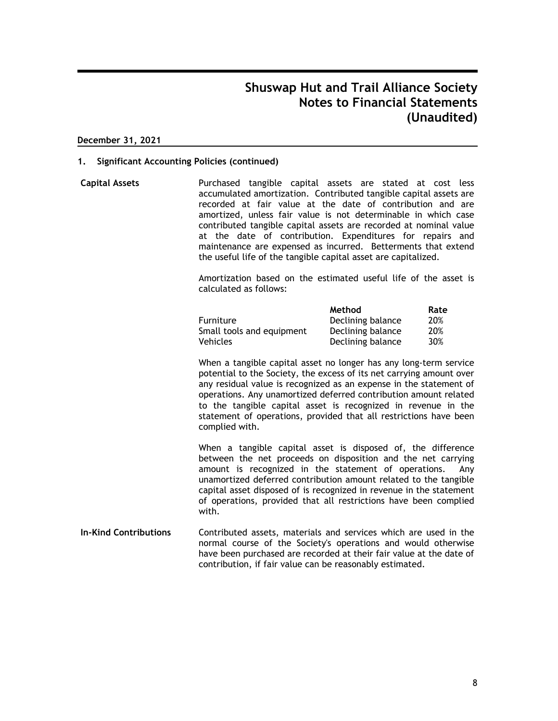#### **December 31, 2021**

#### **1. Significant Accounting Policies (continued)**

**Capital Assets** Purchased tangible capital assets are stated at cost less accumulated amortization. Contributed tangible capital assets are recorded at fair value at the date of contribution and are amortized, unless fair value is not determinable in which case contributed tangible capital assets are recorded at nominal value at the date of contribution. Expenditures for repairs and maintenance are expensed as incurred. Betterments that extend the useful life of the tangible capital asset are capitalized.

> Amortization based on the estimated useful life of the asset is calculated as follows:

|                           | Method            | Rate |
|---------------------------|-------------------|------|
| <b>Furniture</b>          | Declining balance | 20%  |
| Small tools and equipment | Declining balance | 20%  |
| <b>Vehicles</b>           | Declining balance | 30%  |

When a tangible capital asset no longer has any long-term service potential to the Society, the excess of its net carrying amount over any residual value is recognized as an expense in the statement of operations. Any unamortized deferred contribution amount related to the tangible capital asset is recognized in revenue in the statement of operations, provided that all restrictions have been complied with.

When a tangible capital asset is disposed of, the difference between the net proceeds on disposition and the net carrying amount is recognized in the statement of operations. Any unamortized deferred contribution amount related to the tangible capital asset disposed of is recognized in revenue in the statement of operations, provided that all restrictions have been complied with.

**In-Kind Contributions** Contributed assets, materials and services which are used in the normal course of the Society's operations and would otherwise have been purchased are recorded at their fair value at the date of contribution, if fair value can be reasonably estimated.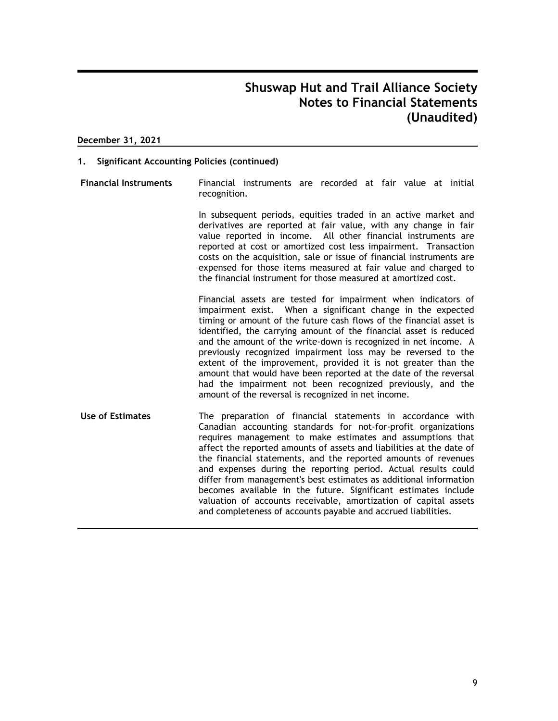#### **December 31, 2021**

#### **1. Significant Accounting Policies (continued)**

**Financial Instruments** Financial instruments are recorded at fair value at initial recognition.

> In subsequent periods, equities traded in an active market and derivatives are reported at fair value, with any change in fair value reported in income. All other financial instruments are reported at cost or amortized cost less impairment. Transaction costs on the acquisition, sale or issue of financial instruments are expensed for those items measured at fair value and charged to the financial instrument for those measured at amortized cost.

Financial assets are tested for impairment when indicators of impairment exist. When a significant change in the expected timing or amount of the future cash flows of the financial asset is identified, the carrying amount of the financial asset is reduced and the amount of the write-down is recognized in net income. A previously recognized impairment loss may be reversed to the extent of the improvement, provided it is not greater than the amount that would have been reported at the date of the reversal had the impairment not been recognized previously, and the amount of the reversal is recognized in net income.

**Use of Estimates** The preparation of financial statements in accordance with Canadian accounting standards for not-for-profit organizations requires management to make estimates and assumptions that affect the reported amounts of assets and liabilities at the date of the financial statements, and the reported amounts of revenues and expenses during the reporting period. Actual results could differ from management's best estimates as additional information becomes available in the future. Significant estimates include valuation of accounts receivable, amortization of capital assets and completeness of accounts payable and accrued liabilities.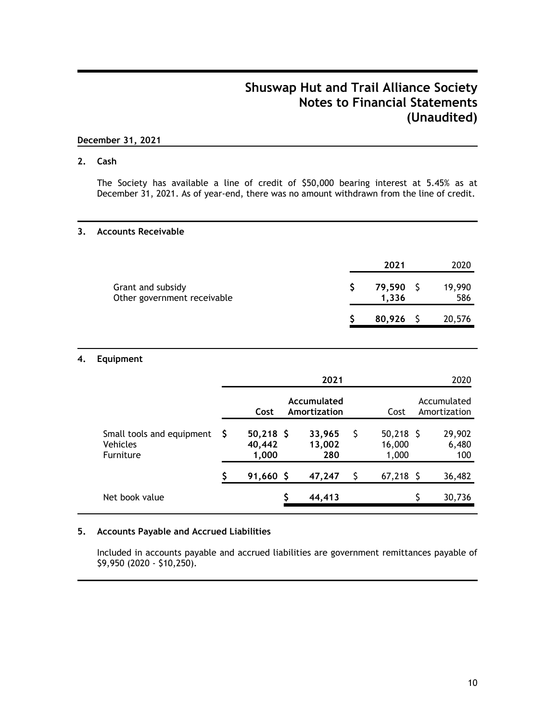### **December 31, 2021**

### **2. Cash**

The Society has available a line of credit of \$50,000 bearing interest at 5.45% as at December 31, 2021. As of year-end, there was no amount withdrawn from the line of credit.

### **3. Accounts Receivable**

|                                                  | 2021               | 2020          |
|--------------------------------------------------|--------------------|---------------|
| Grant and subsidy<br>Other government receivable | 79,590 \$<br>1,336 | 19,990<br>586 |
|                                                  | $80,926$ \$        | 20,576        |

### **4. Equipment**

|   |                 | 2021                       |                             |                 |        | 2020                        |
|---|-----------------|----------------------------|-----------------------------|-----------------|--------|-----------------------------|
|   | Cost            |                            |                             | Cost            |        | Accumulated<br>Amortization |
| S | 40,442<br>1,000 | 33,965<br>13,002<br>280    | S                           | 16,000<br>1,000 |        | 29,902<br>6,480<br>100      |
|   |                 | 47,247                     |                             |                 |        | 36,482                      |
|   |                 | 44,413                     |                             |                 |        | 30,736                      |
|   |                 | $50,218$ \$<br>$91,660$ \$ | Accumulated<br>Amortization |                 | 67,218 | $50,218$ \$<br>-S           |

### **5. Accounts Payable and Accrued Liabilities**

Included in accounts payable and accrued liabilities are government remittances payable of \$9,950 (2020 - \$10,250).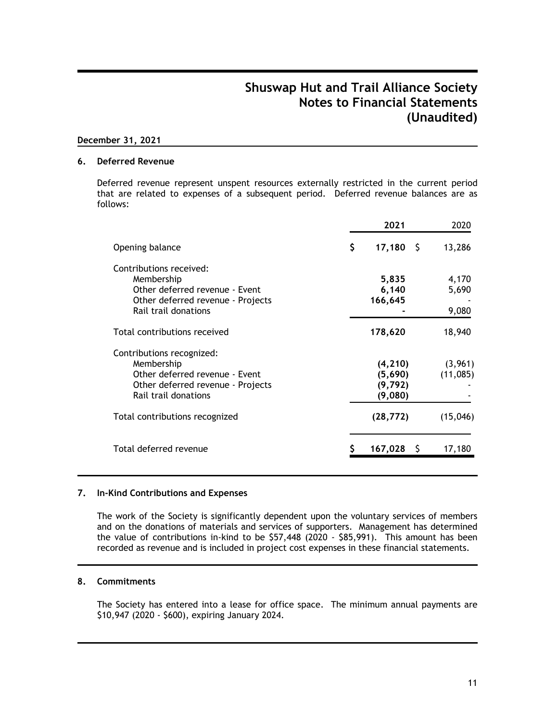### **December 31, 2021**

#### **6. Deferred Revenue**

Deferred revenue represent unspent resources externally restricted in the current period that are related to expenses of a subsequent period. Deferred revenue balances are as follows:

|                                                                                                                                        | 2021                                       | 2020                    |
|----------------------------------------------------------------------------------------------------------------------------------------|--------------------------------------------|-------------------------|
| Opening balance                                                                                                                        | \$<br>$17,180$ \$                          | 13,286                  |
| Contributions received:<br>Membership<br>Other deferred revenue - Event<br>Other deferred revenue - Projects<br>Rail trail donations   | 5,835<br>6,140<br>166,645                  | 4,170<br>5,690<br>9,080 |
| Total contributions received                                                                                                           | 178,620                                    | 18,940                  |
| Contributions recognized:<br>Membership<br>Other deferred revenue - Event<br>Other deferred revenue - Projects<br>Rail trail donations | (4, 210)<br>(5,690)<br>(9, 792)<br>(9,080) | (3,961)<br>(11,085)     |
| Total contributions recognized                                                                                                         | (28, 772)                                  | (15,046)                |
| Total deferred revenue                                                                                                                 | $167,028$ \$                               | 17,180                  |

### **7. In-Kind Contributions and Expenses**

The work of the Society is significantly dependent upon the voluntary services of members and on the donations of materials and services of supporters. Management has determined the value of contributions in-kind to be \$57,448 (2020 - \$85,991). This amount has been recorded as revenue and is included in project cost expenses in these financial statements.

### **8. Commitments**

The Society has entered into a lease for office space. The minimum annual payments are \$10,947 (2020 - \$600), expiring January 2024.